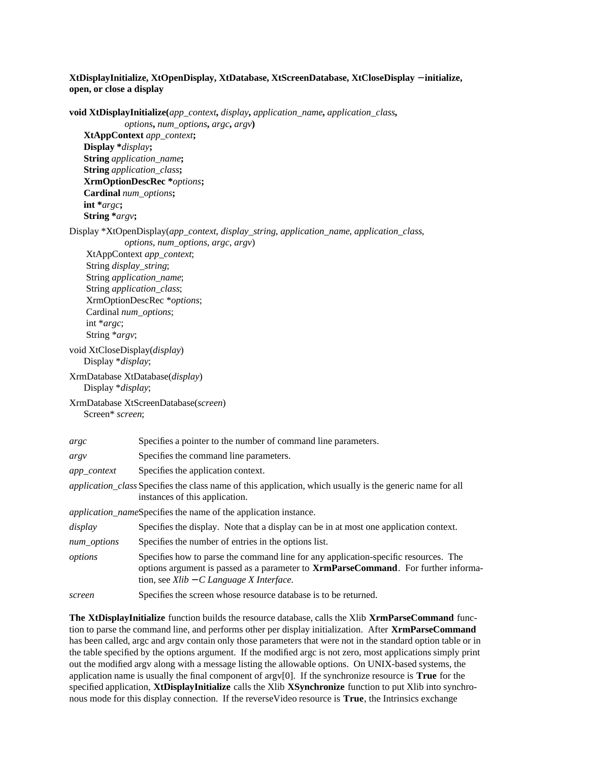## **XtDisplayInitialize, XtOpenDisplay, XtDatabase, XtScreenDatabase, XtCloseDisplay** − **initialize, open, or close a display**

**void XtDisplayInitialize(***app\_context***,** *display***,** *application\_name***,** *application\_class***,** *options***,** *num\_options***,** *argc***,** *argv***) XtAppContext** *app\_context***; Display \****display***; String** *application\_name***; String** *application\_class***; XrmOptionDescRec \****options***; Cardinal** *num\_options***; int \****argc***; String \****argv***;** Display \*XtOpenDisplay(*app\_context*, *display\_string*, *application\_name*, *application\_class*, *options*, *num\_options*, *argc*, *argv*) XtAppContext *app\_context*; String *display\_string*; String *application\_name*; String *application\_class*; XrmOptionDescRec \**options*; Cardinal *num\_options*; int \**argc*; String \**argv*; void XtCloseDisplay(*display*) Display \**display*; XrmDatabase XtDatabase(*display*) Display \**display*; XrmDatabase XtScreenDatabase(*screen*) Screen\* *screen*; *argc* Specifies a pointer to the number of command line parameters. *argv* Specifies the command line parameters. *app\_context* Specifies the application context. *application\_class* Specifies the class name of this application, which usually is the generic name for all instances of this application. *application\_name*Specifies the name of the application instance. *display* Specifies the display. Note that a display can be in at most one application context. *num\_options* Specifies the number of entries in the options list. *options* Specifies how to parse the command line for any application-specific resources. The options argument is passed as a parameter to **XrmParseCommand**. For further information, see *Xlib* − *C Language X Interface*. *screen* Specifies the screen whose resource database is to be returned.

**The XtDisplayInitialize** function builds the resource database, calls the Xlib **XrmParseCommand** function to parse the command line, and performs other per display initialization. After **XrmParseCommand** has been called, argc and argv contain only those parameters that were not in the standard option table or in the table specified by the options argument. If the modified argc is not zero, most applications simply print out the modified argv along with a message listing the allowable options. On UNIX-based systems, the application name is usually the final component of argv[0]. If the synchronize resource is **True** for the specified application, **XtDisplayInitialize** calls the Xlib **XSynchronize** function to put Xlib into synchronous mode for this display connection. If the reverseVideo resource is **True**, the Intrinsics exchange